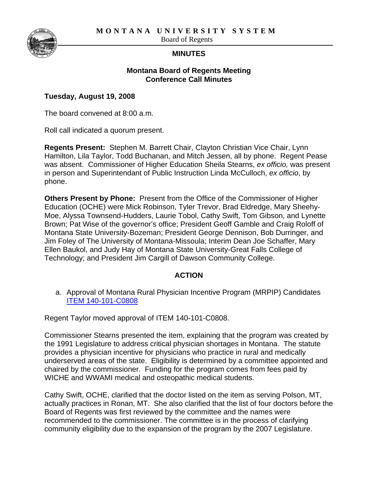**MONTANA UNIVERSITY SYSTEM** 



Board of Regents

## **MINUTES**

## **Montana Board of Regents Meeting Conference Call Minutes**

## **Tuesday, August 19, 2008**

The board convened at 8:00 a.m.

Roll call indicated a quorum present.

**Regents Present:** Stephen M. Barrett Chair, Clayton Christian Vice Chair, Lynn Hamilton, Lila Taylor, Todd Buchanan, and Mitch Jessen, all by phone. Regent Pease was absent. Commissioner of Higher Education Sheila Stearns, *ex officio,* was present in person and Superintendant of Public Instruction Linda McCulloch, *ex officio*, by phone.

**Others Present by Phone:** Present from the Office of the Commissioner of Higher Education (OCHE) were Mick Robinson, Tyler Trevor, Brad Eldredge, Mary Sheehy-Moe, Alyssa Townsend-Hudders, Laurie Tobol, Cathy Swift, Tom Gibson, and Lynette Brown; Pat Wise of the governor's office; President Geoff Gamble and Craig Roloff of Montana State University-Bozeman; President George Dennison, Bob Durringer, and Jim Foley of The University of Montana-Missoula; Interim Dean Joe Schaffer, Mary Ellen Baukol, and Judy Hay of Montana State University-Great Falls College of Technology; and President Jim Cargill of Dawson Community College.

## **ACTION**

a. Approval of Montana Rural Physician Incentive Program (MRPIP) Candidates [ITEM 140-101-C0808](http://mus.edu/board/meetings/2008/Aug08-CC/ITEM140-101-C0808.pdf)

Regent Taylor moved approval of ITEM 140-101-C0808.

Commissioner Stearns presented the item, explaining that the program was created by the 1991 Legislature to address critical physician shortages in Montana. The statute provides a physician incentive for physicians who practice in rural and medically underserved areas of the state. Eligibility is determined by a committee appointed and chaired by the commissioner. Funding for the program comes from fees paid by WICHE and WWAMI medical and osteopathic medical students.

Cathy Swift, OCHE, clarified that the doctor listed on the item as serving Polson, MT, actually practices in Ronan, MT. She also clarified that the list of four doctors before the Board of Regents was first reviewed by the committee and the names were recommended to the commissioner. The committee is in the process of clarifying community eligibility due to the expansion of the program by the 2007 Legislature.